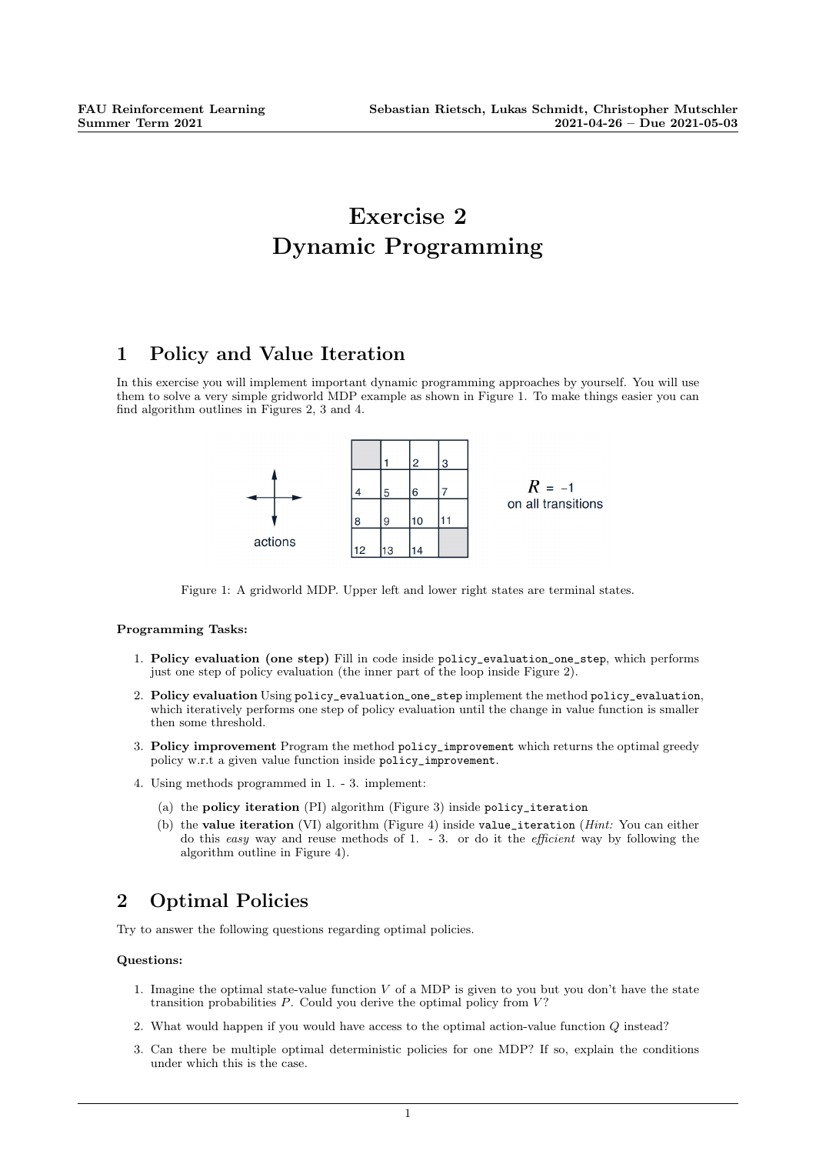# Exercise 2 Dynamic Programming

### 1 Policy and Value Iteration

In this exercise you will implement important dynamic programming approaches by yourself. You will use them to solve a very simple gridworld MDP example as shown in Figure 1. To make things easier you can find algorithm outlines in Figures 2, 3 and 4.



Figure 1: A gridworld MDP. Upper left and lower right states are terminal states.

#### Programming Tasks:

- 1. Policy evaluation (one step) Fill in code inside policy\_evaluation\_one\_step, which performs just one step of policy evaluation (the inner part of the loop inside Figure 2).
- 2. Policy evaluation Using policy\_evaluation\_one\_step implement the method policy\_evaluation, which iteratively performs one step of policy evaluation until the change in value function is smaller then some threshold.
- 3. Policy improvement Program the method policy\_improvement which returns the optimal greedy policy w.r.t a given value function inside policy\_improvement.
- 4. Using methods programmed in 1. 3. implement:
	- (a) the policy iteration (PI) algorithm (Figure 3) inside policy\_iteration
	- (b) the value iteration (VI) algorithm (Figure 4) inside value\_iteration ( $Hint:$  You can either do this easy way and reuse methods of 1. - 3. or do it the *efficient* way by following the algorithm outline in Figure 4).

## 2 Optimal Policies

Try to answer the following questions regarding optimal policies.

#### Questions:

- 1. Imagine the optimal state-value function  $V$  of a MDP is given to you but you don't have the state transition probabilities  $P$ . Could you derive the optimal policy from  $V$ ?
- 2. What would happen if you would have access to the optimal action-value function Q instead?
- 3. Can there be multiple optimal deterministic policies for one MDP? If so, explain the conditions under which this is the case.